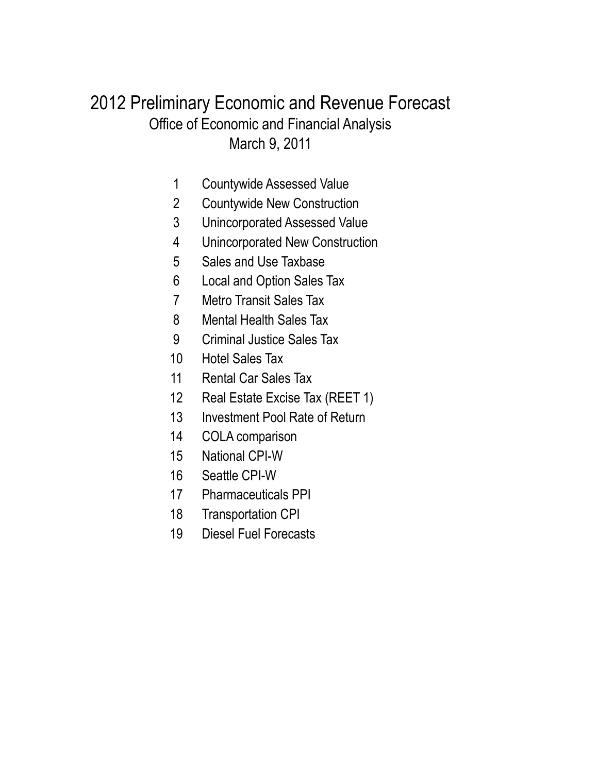# March 9, 2011 Office of Economic and Financial Analysis 2012 Preliminary Economic and Revenue Forecast

- Countywide Assessed Value
- Countywide New Construction
- Unincorporated Assessed Value
- Unincorporated New Construction
- Sales and Use Taxbase
- Local and Option Sales Tax
- Metro Transit Sales Tax
- Mental Health Sales Tax
- Criminal Justice Sales Tax
- Hotel Sales Tax
- 11 Rental Car Sales Tax
- Real Estate Excise Tax (REET 1)
- Investment Pool Rate of Return
- COLA comparison
- National CPI-W
- Seattle CPI-W
- Pharmaceuticals PPI
- Transportation CPI
- Diesel Fuel Forecasts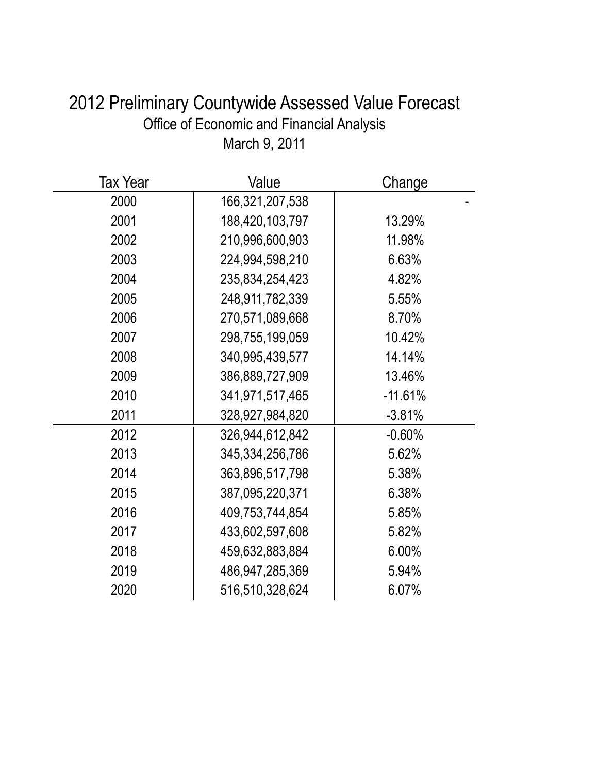| <b>Tax Year</b> | Value              | Change    |
|-----------------|--------------------|-----------|
| 2000            | 166,321,207,538    |           |
| 2001            | 188,420,103,797    | 13.29%    |
| 2002            | 210,996,600,903    | 11.98%    |
| 2003            | 224,994,598,210    | 6.63%     |
| 2004            | 235,834,254,423    | 4.82%     |
| 2005            | 248,911,782,339    | 5.55%     |
| 2006            | 270,571,089,668    | 8.70%     |
| 2007            | 298,755,199,059    | 10.42%    |
| 2008            | 340,995,439,577    | 14.14%    |
| 2009            | 386,889,727,909    | 13.46%    |
| 2010            | 341,971,517,465    | $-11.61%$ |
| 2011            | 328,927,984,820    | $-3.81%$  |
| 2012            | 326,944,612,842    | $-0.60%$  |
| 2013            | 345, 334, 256, 786 | 5.62%     |
| 2014            | 363,896,517,798    | 5.38%     |
| 2015            | 387,095,220,371    | 6.38%     |
| 2016            | 409,753,744,854    | 5.85%     |
| 2017            | 433,602,597,608    | 5.82%     |
| 2018            | 459,632,883,884    | 6.00%     |
| 2019            | 486, 947, 285, 369 | 5.94%     |
| 2020            | 516,510,328,624    | 6.07%     |

# 2012 Preliminary Countywide Assessed Value Forecast Office of Economic and Financial Analysis March 9, 2011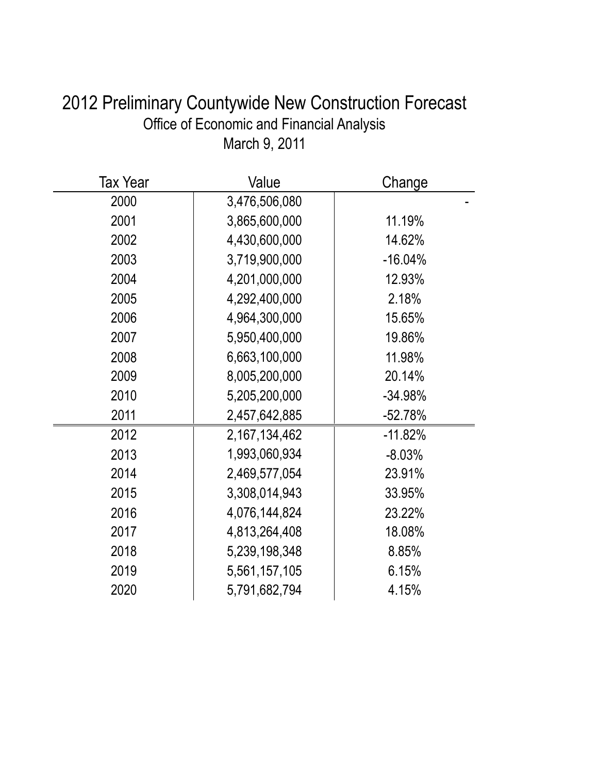| Office of Economic and Financial Analysis<br>March 9, 2011 |                       |           |  |  |
|------------------------------------------------------------|-----------------------|-----------|--|--|
| <b>Tax Year</b>                                            | Value                 | Change    |  |  |
| 2000                                                       | 3,476,506,080         |           |  |  |
| 2001                                                       | 3,865,600,000         | 11.19%    |  |  |
| 2002                                                       | 4,430,600,000         | 14.62%    |  |  |
| 2003                                                       | 3,719,900,000         | $-16.04%$ |  |  |
| 2004                                                       | 4,201,000,000         | 12.93%    |  |  |
| 2005                                                       | 4,292,400,000         | 2.18%     |  |  |
| 200G                                                       | $\lambda$ ags 300,000 | 15.650/   |  |  |

# 2012 Preliminary Countywide New Construction Forecast Office of Economic and Financial Analysis

| 4,430,600,000 | 14.62%    |
|---------------|-----------|
| 3,719,900,000 | $-16.04%$ |
| 4,201,000,000 | 12.93%    |
| 4,292,400,000 | 2.18%     |
| 4,964,300,000 | 15.65%    |
| 5,950,400,000 | 19.86%    |
| 6,663,100,000 | 11.98%    |
| 8,005,200,000 | 20.14%    |
| 5,205,200,000 | $-34.98%$ |
| 2,457,642,885 | $-52.78%$ |
| 2,167,134,462 | $-11.82%$ |
| 1,993,060,934 | $-8.03%$  |
| 2,469,577,054 | 23.91%    |
| 3,308,014,943 | 33.95%    |
| 4,076,144,824 | 23.22%    |
| 4,813,264,408 | 18.08%    |
| 5,239,198,348 | 8.85%     |
| 5,561,157,105 | 6.15%     |
| 5,791,682,794 | 4.15%     |
|               |           |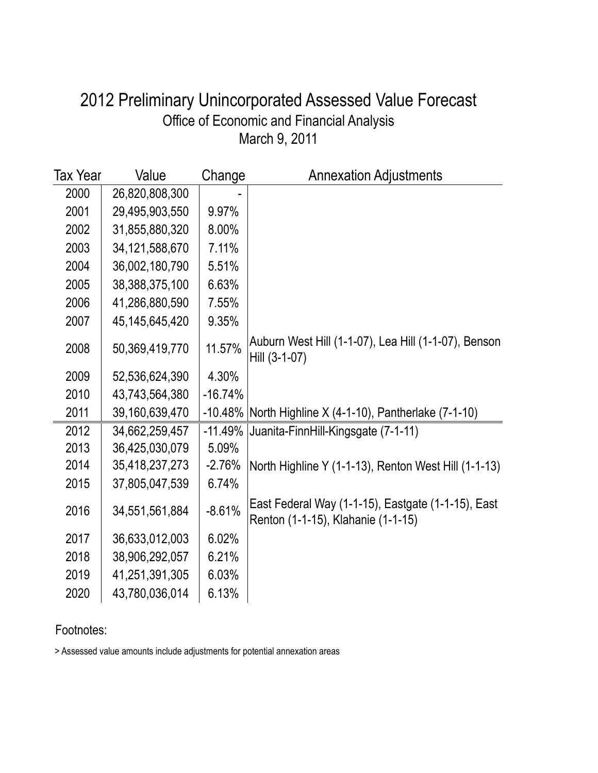### March 9, 2011 Office of Economic and Financial Analysis 2012 Preliminary Unincorporated Assessed Value Forecast

| Tax Year | Value             | Change    | <b>Annexation Adjustments</b>                                                            |
|----------|-------------------|-----------|------------------------------------------------------------------------------------------|
| 2000     | 26,820,808,300    |           |                                                                                          |
| 2001     | 29,495,903,550    | 9.97%     |                                                                                          |
| 2002     | 31,855,880,320    | 8.00%     |                                                                                          |
| 2003     | 34,121,588,670    | 7.11%     |                                                                                          |
| 2004     | 36,002,180,790    | 5.51%     |                                                                                          |
| 2005     | 38,388,375,100    | 6.63%     |                                                                                          |
| 2006     | 41,286,880,590    | 7.55%     |                                                                                          |
| 2007     | 45, 145, 645, 420 | 9.35%     |                                                                                          |
| 2008     | 50,369,419,770    | 11.57%    | Auburn West Hill (1-1-07), Lea Hill (1-1-07), Benson<br>Hill (3-1-07)                    |
| 2009     | 52,536,624,390    | 4.30%     |                                                                                          |
| 2010     | 43,743,564,380    | $-16.74%$ |                                                                                          |
| 2011     | 39,160,639,470    |           | $-10.48\%$ North Highline X (4-1-10), Pantherlake (7-1-10)                               |
| 2012     | 34,662,259,457    | $-11.49%$ | Juanita-FinnHill-Kingsgate (7-1-11)                                                      |
| 2013     | 36,425,030,079    | 5.09%     |                                                                                          |
| 2014     | 35,418,237,273    | $-2.76%$  | North Highline Y (1-1-13), Renton West Hill (1-1-13)                                     |
| 2015     | 37,805,047,539    | 6.74%     |                                                                                          |
| 2016     | 34,551,561,884    | $-8.61%$  | East Federal Way (1-1-15), Eastgate (1-1-15), East<br>Renton (1-1-15), Klahanie (1-1-15) |
| 2017     | 36,633,012,003    | 6.02%     |                                                                                          |
| 2018     | 38,906,292,057    | 6.21%     |                                                                                          |
| 2019     | 41,251,391,305    | 6.03%     |                                                                                          |
| 2020     | 43,780,036,014    | 6.13%     |                                                                                          |

Footnotes:

> Assessed value amounts include adjustments for potential annexation areas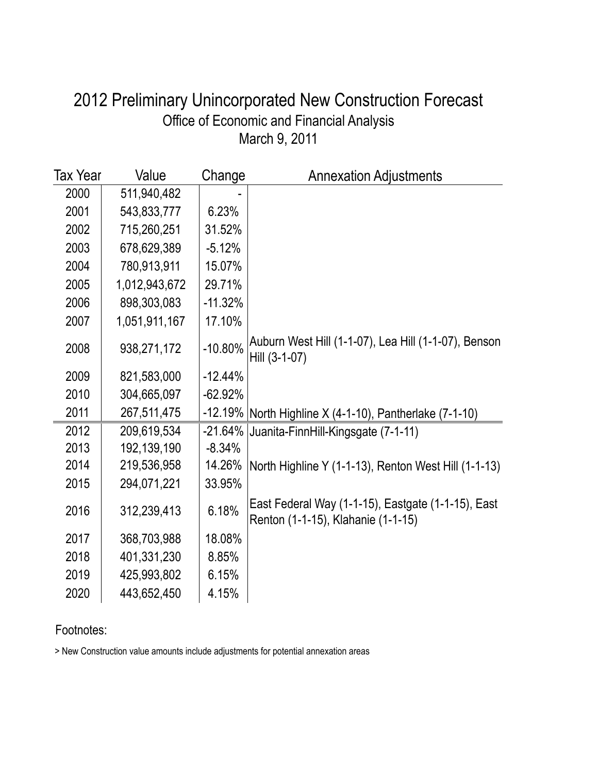### March 9, 2011 Office of Economic and Financial Analysis 2012 Preliminary Unincorporated New Construction Forecast

| Tax Year | Value         | Change    | <b>Annexation Adjustments</b>                                                            |
|----------|---------------|-----------|------------------------------------------------------------------------------------------|
| 2000     | 511,940,482   |           |                                                                                          |
| 2001     | 543,833,777   | 6.23%     |                                                                                          |
| 2002     | 715,260,251   | 31.52%    |                                                                                          |
| 2003     | 678,629,389   | $-5.12%$  |                                                                                          |
| 2004     | 780,913,911   | 15.07%    |                                                                                          |
| 2005     | 1,012,943,672 | 29.71%    |                                                                                          |
| 2006     | 898,303,083   | $-11.32%$ |                                                                                          |
| 2007     | 1,051,911,167 | 17.10%    |                                                                                          |
| 2008     | 938,271,172   | $-10.80%$ | Auburn West Hill (1-1-07), Lea Hill (1-1-07), Benson<br>Hill (3-1-07)                    |
| 2009     | 821,583,000   | $-12.44%$ |                                                                                          |
| 2010     | 304,665,097   | $-62.92%$ |                                                                                          |
| 2011     | 267,511,475   | $-12.19%$ | North Highline X (4-1-10), Pantherlake (7-1-10)                                          |
| 2012     | 209,619,534   | $-21.64%$ | Juanita-FinnHill-Kingsgate (7-1-11)                                                      |
| 2013     | 192,139,190   | $-8.34%$  |                                                                                          |
| 2014     | 219,536,958   | 14.26%    | North Highline Y (1-1-13), Renton West Hill (1-1-13)                                     |
| 2015     | 294,071,221   | 33.95%    |                                                                                          |
| 2016     | 312,239,413   | 6.18%     | East Federal Way (1-1-15), Eastgate (1-1-15), East<br>Renton (1-1-15), Klahanie (1-1-15) |
| 2017     | 368,703,988   | 18.08%    |                                                                                          |
| 2018     | 401,331,230   | 8.85%     |                                                                                          |
| 2019     | 425,993,802   | 6.15%     |                                                                                          |
| 2020     | 443,652,450   | 4.15%     |                                                                                          |

#### Footnotes:

> New Construction value amounts include adjustments for potential annexation areas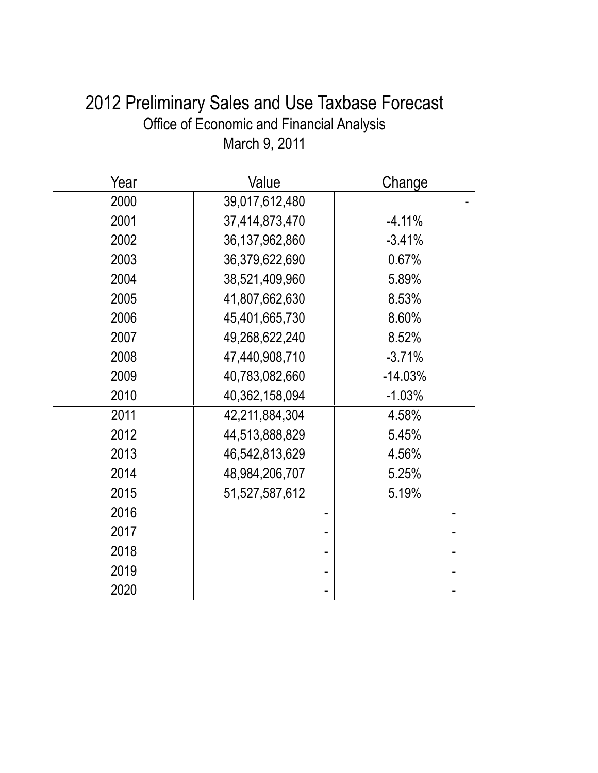# 2012 Preliminary Sales and Use Taxbase Forecast Office of Economic and Financial Analysis March 9, 2011

| Year | Value             | Change    |
|------|-------------------|-----------|
| 2000 | 39,017,612,480    |           |
| 2001 | 37,414,873,470    | $-4.11%$  |
| 2002 | 36, 137, 962, 860 | $-3.41%$  |
| 2003 | 36,379,622,690    | 0.67%     |
| 2004 | 38,521,409,960    | 5.89%     |
| 2005 | 41,807,662,630    | 8.53%     |
| 2006 | 45,401,665,730    | 8.60%     |
| 2007 | 49,268,622,240    | 8.52%     |
| 2008 | 47,440,908,710    | $-3.71%$  |
| 2009 | 40,783,082,660    | $-14.03%$ |
| 2010 | 40,362,158,094    | $-1.03%$  |
| 2011 | 42,211,884,304    | 4.58%     |
| 2012 | 44,513,888,829    | 5.45%     |
| 2013 | 46,542,813,629    | 4.56%     |
| 2014 | 48,984,206,707    | 5.25%     |
| 2015 | 51,527,587,612    | 5.19%     |
| 2016 |                   |           |
| 2017 |                   |           |
| 2018 |                   |           |
| 2019 |                   |           |
| 2020 |                   |           |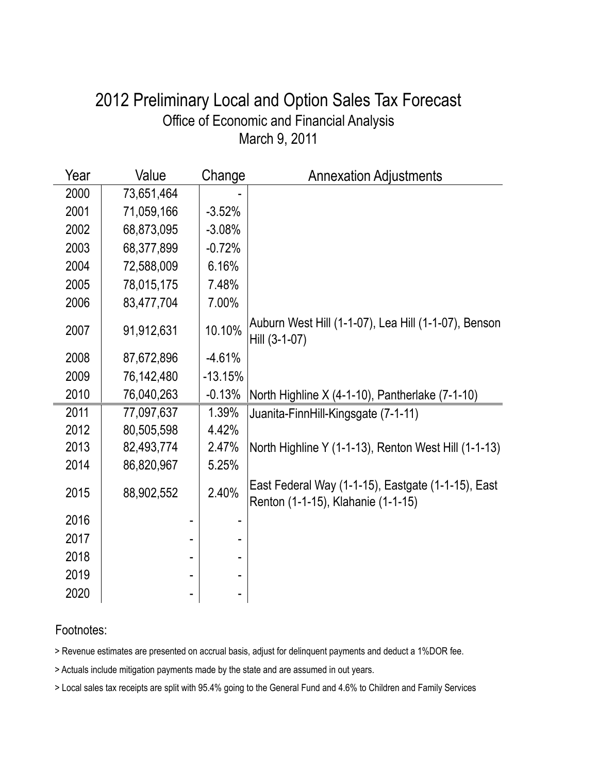### March 9, 2011 Office of Economic and Financial Analysis 2012 Preliminary Local and Option Sales Tax Forecast

| Year | Value      | Change    | <b>Annexation Adjustments</b>                                                            |
|------|------------|-----------|------------------------------------------------------------------------------------------|
| 2000 | 73,651,464 |           |                                                                                          |
| 2001 | 71,059,166 | $-3.52%$  |                                                                                          |
| 2002 | 68,873,095 | $-3.08%$  |                                                                                          |
| 2003 | 68,377,899 | $-0.72%$  |                                                                                          |
| 2004 | 72,588,009 | 6.16%     |                                                                                          |
| 2005 | 78,015,175 | 7.48%     |                                                                                          |
| 2006 | 83,477,704 | 7.00%     |                                                                                          |
| 2007 | 91,912,631 | 10.10%    | Auburn West Hill (1-1-07), Lea Hill (1-1-07), Benson<br>Hill (3-1-07)                    |
| 2008 | 87,672,896 | $-4.61%$  |                                                                                          |
| 2009 | 76,142,480 | $-13.15%$ |                                                                                          |
| 2010 | 76,040,263 | $-0.13%$  | North Highline X (4-1-10), Pantherlake (7-1-10)                                          |
| 2011 | 77,097,637 | 1.39%     | Juanita-FinnHill-Kingsgate (7-1-11)                                                      |
| 2012 | 80,505,598 | 4.42%     |                                                                                          |
| 2013 | 82,493,774 | 2.47%     | North Highline Y (1-1-13), Renton West Hill (1-1-13)                                     |
| 2014 | 86,820,967 | 5.25%     |                                                                                          |
| 2015 | 88,902,552 | 2.40%     | East Federal Way (1-1-15), Eastgate (1-1-15), East<br>Renton (1-1-15), Klahanie (1-1-15) |
| 2016 |            |           |                                                                                          |
| 2017 |            |           |                                                                                          |
| 2018 |            |           |                                                                                          |
| 2019 |            |           |                                                                                          |
| 2020 |            |           |                                                                                          |

#### Footnotes:

> Revenue estimates are presented on accrual basis, adjust for delinquent payments and deduct a 1%DOR fee.

> Actuals include mitigation payments made by the state and are assumed in out years.

> Local sales tax receipts are split with 95.4% going to the General Fund and 4.6% to Children and Family Services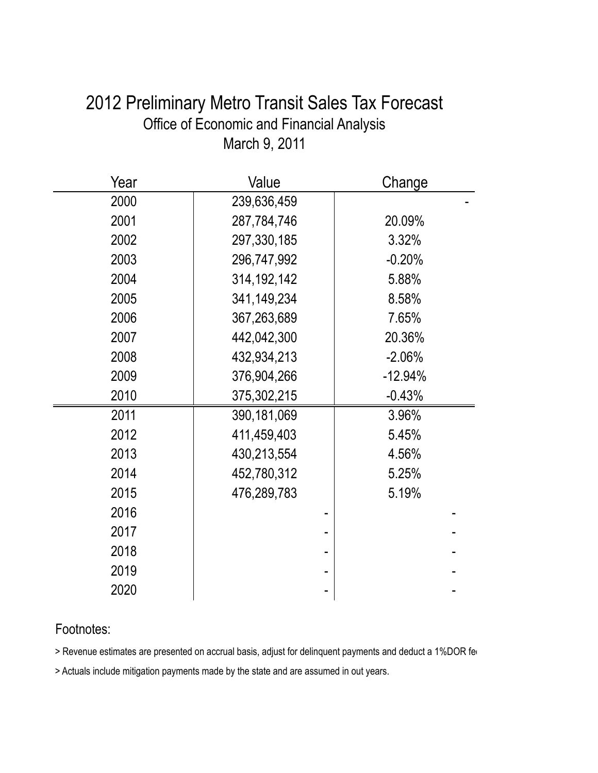| 2012 Preliminary Metro Transit Sales Tax Forecast |
|---------------------------------------------------|
| Office of Economic and Financial Analysis         |
| March 9, 2011                                     |

| Year | Value         | Change    |
|------|---------------|-----------|
| 2000 | 239,636,459   |           |
| 2001 | 287,784,746   | 20.09%    |
| 2002 | 297,330,185   | 3.32%     |
| 2003 | 296,747,992   | $-0.20%$  |
| 2004 | 314, 192, 142 | 5.88%     |
| 2005 | 341,149,234   | 8.58%     |
| 2006 | 367,263,689   | 7.65%     |
| 2007 | 442,042,300   | 20.36%    |
| 2008 | 432,934,213   | $-2.06%$  |
| 2009 | 376,904,266   | $-12.94%$ |
| 2010 | 375,302,215   | $-0.43%$  |
| 2011 | 390,181,069   | 3.96%     |
| 2012 | 411,459,403   | 5.45%     |
| 2013 | 430,213,554   | 4.56%     |
| 2014 | 452,780,312   | 5.25%     |
| 2015 | 476,289,783   | 5.19%     |
| 2016 |               |           |
| 2017 |               |           |
| 2018 |               |           |
| 2019 |               |           |
| 2020 |               |           |

### Footnotes:

> Revenue estimates are presented on accrual basis, adjust for delinquent payments and deduct a 1%DOR fere

> Actuals include mitigation payments made by the state and are assumed in out years.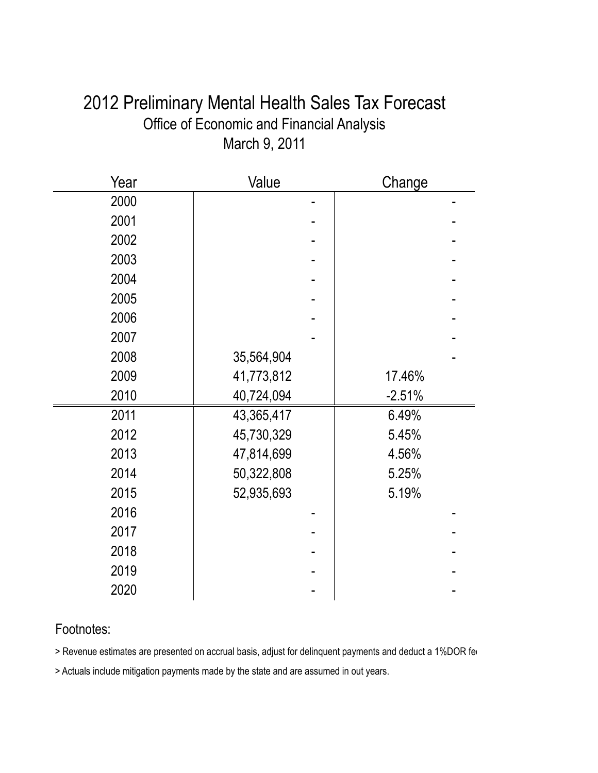# 2012 Preliminary Mental Health Sales Tax Forecast Office of Economic and Financial Analysis March 9, 2011

| Year | Value      | Change   |  |
|------|------------|----------|--|
| 2000 |            |          |  |
| 2001 |            |          |  |
| 2002 |            |          |  |
| 2003 |            |          |  |
| 2004 |            |          |  |
| 2005 |            |          |  |
| 2006 |            |          |  |
| 2007 |            |          |  |
| 2008 | 35,564,904 |          |  |
| 2009 | 41,773,812 | 17.46%   |  |
| 2010 | 40,724,094 | $-2.51%$ |  |
| 2011 | 43,365,417 | 6.49%    |  |
| 2012 | 45,730,329 | 5.45%    |  |
| 2013 | 47,814,699 | 4.56%    |  |
| 2014 | 50,322,808 | 5.25%    |  |
| 2015 | 52,935,693 | 5.19%    |  |
| 2016 |            |          |  |
| 2017 |            |          |  |
| 2018 |            |          |  |
| 2019 |            |          |  |
| 2020 |            |          |  |

### Footnotes:

> Revenue estimates are presented on accrual basis, adjust for delinquent payments and deduct a 1%DOR fee

> Actuals include mitigation payments made by the state and are assumed in out years.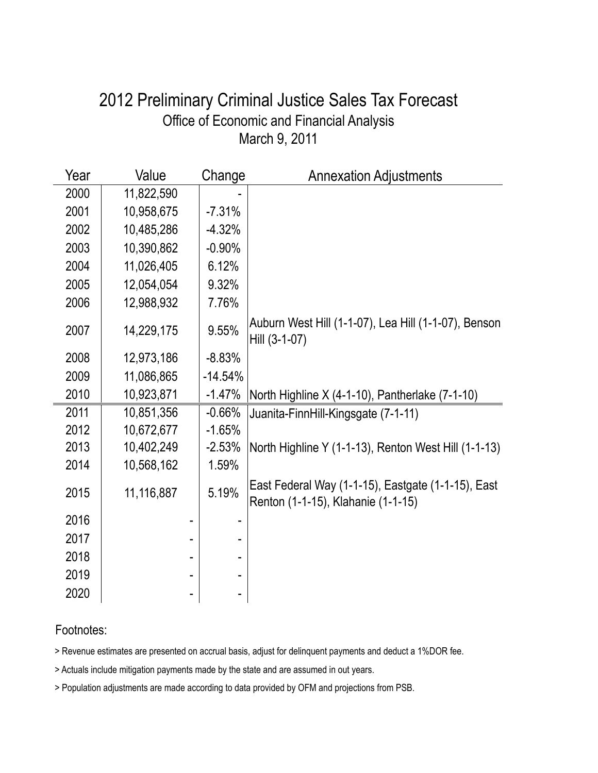### March 9, 2011 Office of Economic and Financial Analysis 2012 Preliminary Criminal Justice Sales Tax Forecast

| Year | Value      | Change    | <b>Annexation Adjustments</b>                                                            |
|------|------------|-----------|------------------------------------------------------------------------------------------|
| 2000 | 11,822,590 |           |                                                                                          |
| 2001 | 10,958,675 | $-7.31%$  |                                                                                          |
| 2002 | 10,485,286 | $-4.32%$  |                                                                                          |
| 2003 | 10,390,862 | $-0.90%$  |                                                                                          |
| 2004 | 11,026,405 | 6.12%     |                                                                                          |
| 2005 | 12,054,054 | 9.32%     |                                                                                          |
| 2006 | 12,988,932 | 7.76%     |                                                                                          |
| 2007 | 14,229,175 | 9.55%     | Auburn West Hill (1-1-07), Lea Hill (1-1-07), Benson<br>Hill (3-1-07)                    |
| 2008 | 12,973,186 | $-8.83%$  |                                                                                          |
| 2009 | 11,086,865 | $-14.54%$ |                                                                                          |
| 2010 | 10,923,871 | $-1.47%$  | North Highline X (4-1-10), Pantherlake (7-1-10)                                          |
| 2011 | 10,851,356 | $-0.66%$  | Juanita-FinnHill-Kingsgate (7-1-11)                                                      |
| 2012 | 10,672,677 | $-1.65%$  |                                                                                          |
| 2013 | 10,402,249 | $-2.53%$  | North Highline Y (1-1-13), Renton West Hill (1-1-13)                                     |
| 2014 | 10,568,162 | 1.59%     |                                                                                          |
| 2015 | 11,116,887 | 5.19%     | East Federal Way (1-1-15), Eastgate (1-1-15), East<br>Renton (1-1-15), Klahanie (1-1-15) |
| 2016 |            |           |                                                                                          |
| 2017 |            |           |                                                                                          |
| 2018 |            |           |                                                                                          |
| 2019 |            |           |                                                                                          |
| 2020 |            |           |                                                                                          |

#### Footnotes:

> Revenue estimates are presented on accrual basis, adjust for delinquent payments and deduct a 1%DOR fee.

> Actuals include mitigation payments made by the state and are assumed in out years.

> Population adjustments are made according to data provided by OFM and projections from PSB.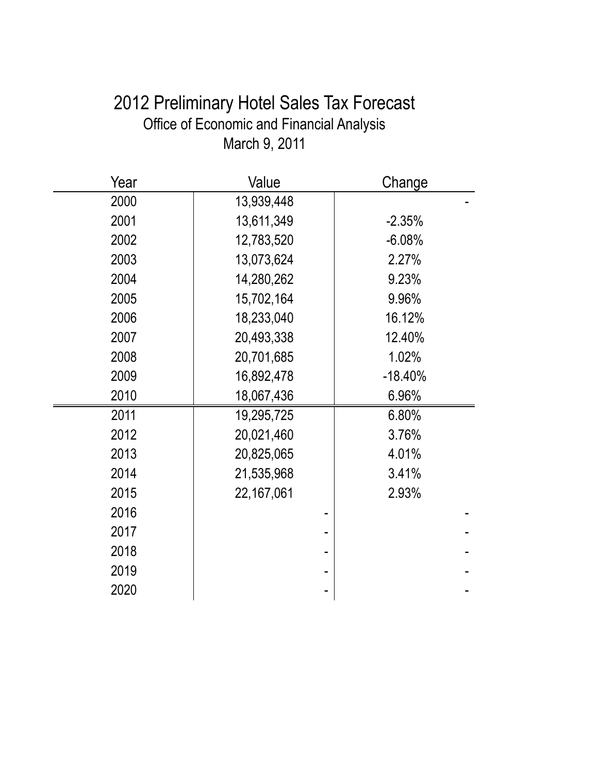# 2012 Preliminary Hotel Sales Tax Forecast Office of Economic and Financial Analysis March 9, 2011

| Year | Value      | Change    |
|------|------------|-----------|
| 2000 | 13,939,448 |           |
| 2001 | 13,611,349 | $-2.35%$  |
| 2002 | 12,783,520 | $-6.08%$  |
| 2003 | 13,073,624 | 2.27%     |
| 2004 | 14,280,262 | 9.23%     |
| 2005 | 15,702,164 | 9.96%     |
| 2006 | 18,233,040 | 16.12%    |
| 2007 | 20,493,338 | 12.40%    |
| 2008 | 20,701,685 | 1.02%     |
| 2009 | 16,892,478 | $-18.40%$ |
| 2010 | 18,067,436 | 6.96%     |
| 2011 | 19,295,725 | 6.80%     |
| 2012 | 20,021,460 | 3.76%     |
| 2013 | 20,825,065 | 4.01%     |
| 2014 | 21,535,968 | 3.41%     |
| 2015 | 22,167,061 | 2.93%     |
| 2016 |            |           |
| 2017 |            |           |
| 2018 |            |           |
| 2019 |            |           |
| 2020 |            |           |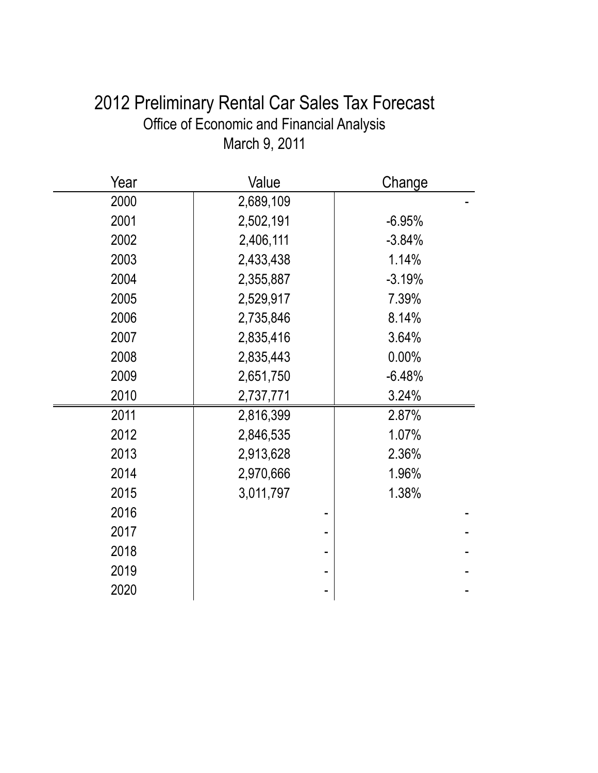| 2012 Preliminary Rental Car Sales Tax Forecast |
|------------------------------------------------|
| Office of Economic and Financial Analysis      |
| March 9, 2011                                  |

| Year | Value     | Change   |
|------|-----------|----------|
| 2000 | 2,689,109 |          |
| 2001 | 2,502,191 | $-6.95%$ |
| 2002 | 2,406,111 | $-3.84%$ |
| 2003 | 2,433,438 | 1.14%    |
| 2004 | 2,355,887 | $-3.19%$ |
| 2005 | 2,529,917 | 7.39%    |
| 2006 | 2,735,846 | 8.14%    |
| 2007 | 2,835,416 | 3.64%    |
| 2008 | 2,835,443 | 0.00%    |
| 2009 | 2,651,750 | $-6.48%$ |
| 2010 | 2,737,771 | 3.24%    |
| 2011 | 2,816,399 | 2.87%    |
| 2012 | 2,846,535 | 1.07%    |
| 2013 | 2,913,628 | 2.36%    |
| 2014 | 2,970,666 | 1.96%    |
| 2015 | 3,011,797 | 1.38%    |
| 2016 |           |          |
| 2017 |           |          |
| 2018 |           |          |
| 2019 |           |          |
| 2020 |           |          |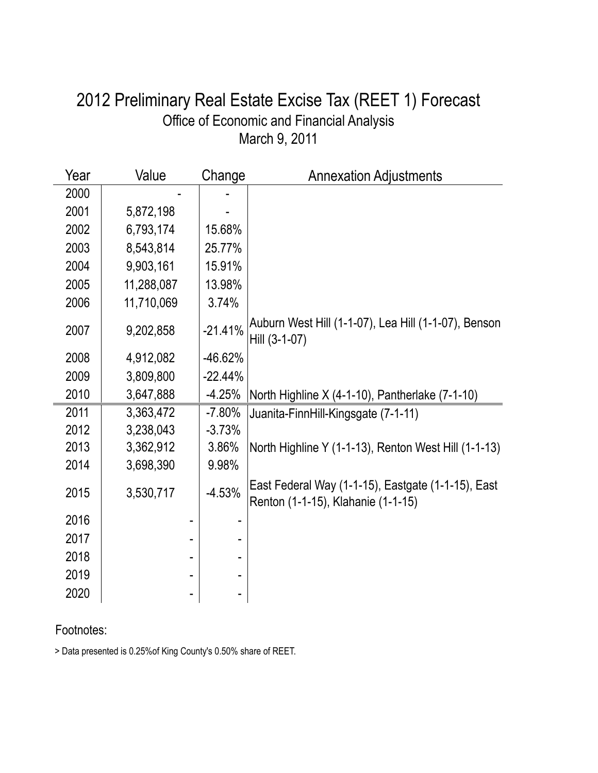### March 9, 2011 Office of Economic and Financial Analysis 2012 Preliminary Real Estate Excise Tax (REET 1) Forecast

| Year | Value      | Change    | <b>Annexation Adjustments</b>                                                            |
|------|------------|-----------|------------------------------------------------------------------------------------------|
| 2000 |            |           |                                                                                          |
| 2001 | 5,872,198  |           |                                                                                          |
| 2002 | 6,793,174  | 15.68%    |                                                                                          |
| 2003 | 8,543,814  | 25.77%    |                                                                                          |
| 2004 | 9,903,161  | 15.91%    |                                                                                          |
| 2005 | 11,288,087 | 13.98%    |                                                                                          |
| 2006 | 11,710,069 | 3.74%     |                                                                                          |
| 2007 | 9,202,858  | $-21.41%$ | Auburn West Hill (1-1-07), Lea Hill (1-1-07), Benson<br>Hill (3-1-07)                    |
| 2008 | 4,912,082  | $-46.62%$ |                                                                                          |
| 2009 | 3,809,800  | $-22.44%$ |                                                                                          |
| 2010 | 3,647,888  | $-4.25%$  | North Highline X (4-1-10), Pantherlake (7-1-10)                                          |
| 2011 | 3,363,472  | $-7.80%$  | Juanita-FinnHill-Kingsgate (7-1-11)                                                      |
| 2012 | 3,238,043  | $-3.73%$  |                                                                                          |
| 2013 | 3,362,912  | 3.86%     | North Highline Y (1-1-13), Renton West Hill (1-1-13)                                     |
| 2014 | 3,698,390  | 9.98%     |                                                                                          |
| 2015 | 3,530,717  | $-4.53%$  | East Federal Way (1-1-15), Eastgate (1-1-15), East<br>Renton (1-1-15), Klahanie (1-1-15) |
| 2016 |            |           |                                                                                          |
| 2017 |            |           |                                                                                          |
| 2018 |            |           |                                                                                          |
| 2019 |            |           |                                                                                          |
| 2020 |            |           |                                                                                          |

### Footnotes:

> Data presented is 0.25%of King County's 0.50% share of REET.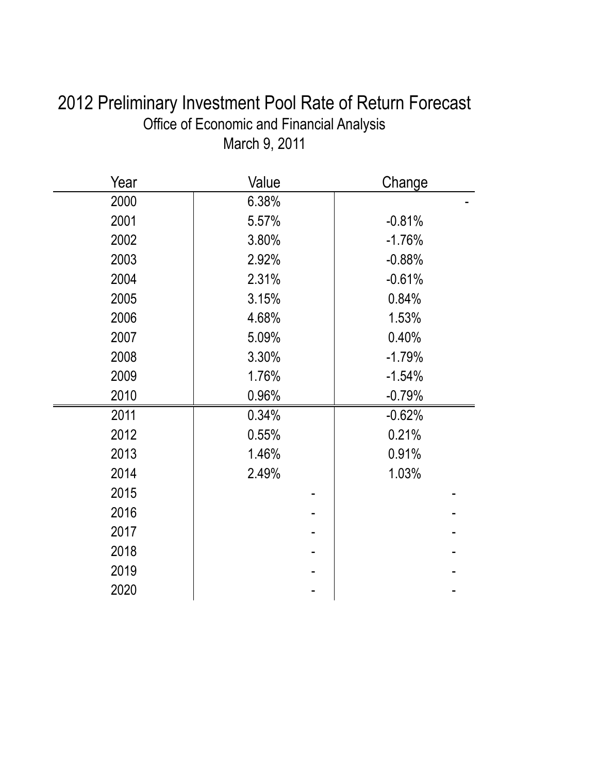| 2012 Preliminary Investment Pool Rate of Return Forecast |
|----------------------------------------------------------|
| Office of Economic and Financial Analysis                |
| March 9, 2011                                            |

| Year | Value | Change   |
|------|-------|----------|
| 2000 | 6.38% |          |
| 2001 | 5.57% | $-0.81%$ |
| 2002 | 3.80% | $-1.76%$ |
| 2003 | 2.92% | $-0.88%$ |
| 2004 | 2.31% | $-0.61%$ |
| 2005 | 3.15% | 0.84%    |
| 2006 | 4.68% | 1.53%    |
| 2007 | 5.09% | 0.40%    |
| 2008 | 3.30% | $-1.79%$ |
| 2009 | 1.76% | $-1.54%$ |
| 2010 | 0.96% | $-0.79%$ |
| 2011 | 0.34% | $-0.62%$ |
| 2012 | 0.55% | 0.21%    |
| 2013 | 1.46% | 0.91%    |
| 2014 | 2.49% | 1.03%    |
| 2015 |       |          |
| 2016 |       |          |
| 2017 |       |          |
| 2018 |       |          |
| 2019 |       |          |
| 2020 |       |          |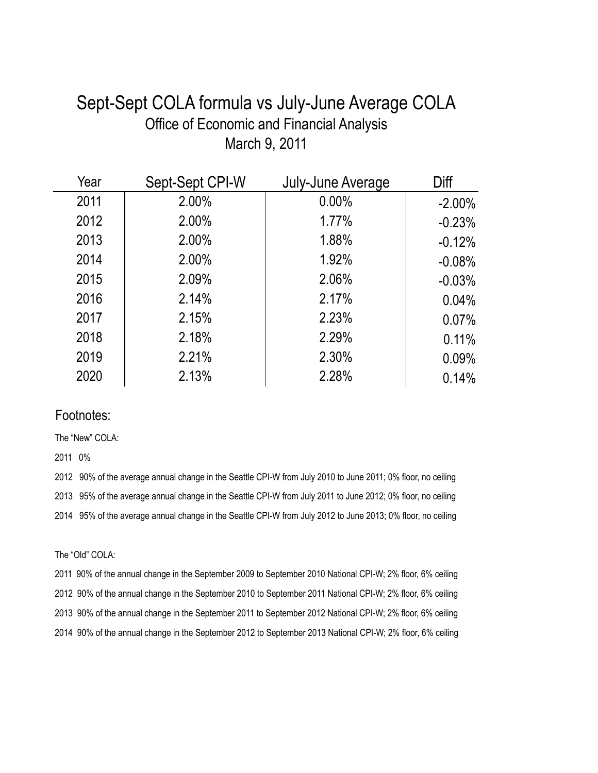### Sept-Sept COLA formula vs July-June Average COLA Office of Economic and Financial Analysis March 9, 2011

| Year | Sept-Sept CPI-W | July-June Average | Diff      |
|------|-----------------|-------------------|-----------|
| 2011 | 2.00%           | 0.00%             | $-2.00\%$ |
| 2012 | 2.00%           | 1.77%             | $-0.23%$  |
| 2013 | 2.00%           | 1.88%             | $-0.12%$  |
| 2014 | 2.00%           | 1.92%             | $-0.08%$  |
| 2015 | 2.09%           | 2.06%             | $-0.03%$  |
| 2016 | 2.14%           | 2.17%             | 0.04%     |
| 2017 | 2.15%           | 2.23%             | 0.07%     |
| 2018 | 2.18%           | 2.29%             | 0.11%     |
| 2019 | 2.21%           | 2.30%             | 0.09%     |
| 2020 | 2.13%           | 2.28%             | 0.14%     |

#### Footnotes:

The "New" COLA:

2011 0%

2012 90% of the average annual change in the Seattle CPI-W from July 2010 to June 2011; 0% floor, no ceiling 2013 95% of the average annual change in the Seattle CPI-W from July 2011 to June 2012; 0% floor, no ceiling 2014 95% of the average annual change in the Seattle CPI-W from July 2012 to June 2013; 0% floor, no ceiling

The "Old" COLA:

2011 90% of the annual change in the September 2009 to September 2010 National CPI-W; 2% floor, 6% ceiling 2012 90% of the annual change in the September 2010 to September 2011 National CPI-W; 2% floor, 6% ceiling 2013 90% of the annual change in the September 2011 to September 2012 National CPI-W; 2% floor, 6% ceiling 2014 90% of the annual change in the September 2012 to September 2013 National CPI-W; 2% floor, 6% ceiling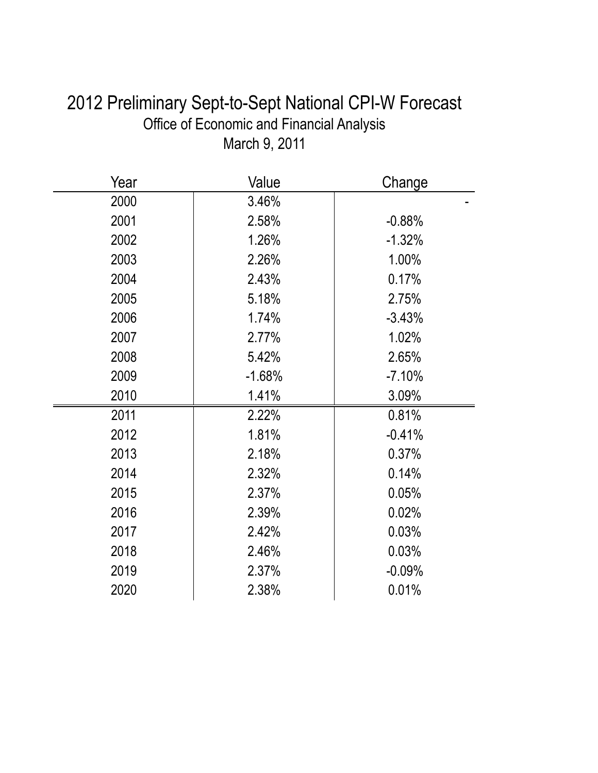| 2012 Preliminary Sept-to-Sept National CPI-W Forecast |
|-------------------------------------------------------|
| <b>Office of Economic and Financial Analysis</b>      |
| March 9, 2011                                         |

| Year | Value    | Change   |
|------|----------|----------|
| 2000 | 3.46%    |          |
| 2001 | 2.58%    | $-0.88%$ |
| 2002 | 1.26%    | $-1.32%$ |
| 2003 | 2.26%    | 1.00%    |
| 2004 | 2.43%    | 0.17%    |
| 2005 | 5.18%    | 2.75%    |
| 2006 | 1.74%    | $-3.43%$ |
| 2007 | 2.77%    | 1.02%    |
| 2008 | 5.42%    | 2.65%    |
| 2009 | $-1.68%$ | $-7.10%$ |
| 2010 | 1.41%    | 3.09%    |
| 2011 | 2.22%    | 0.81%    |
| 2012 | 1.81%    | $-0.41%$ |
| 2013 | 2.18%    | 0.37%    |
| 2014 | 2.32%    | 0.14%    |
| 2015 | 2.37%    | 0.05%    |
| 2016 | 2.39%    | 0.02%    |
| 2017 | 2.42%    | 0.03%    |
| 2018 | 2.46%    | 0.03%    |
| 2019 | 2.37%    | $-0.09%$ |
| 2020 | 2.38%    | 0.01%    |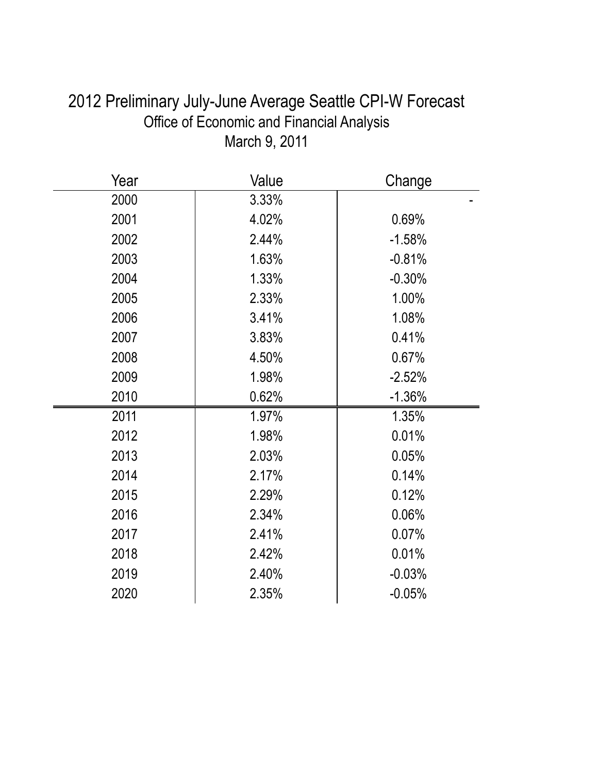| Year | Value    | Change   |
|------|----------|----------|
| 2000 | $3.33\%$ |          |
| 2001 | 4.02%    | 0.69%    |
| 2002 | 2.44%    | $-1.58%$ |
| 2003 | 1.63%    | $-0.81%$ |
| 2004 | 1.33%    | $-0.30%$ |
| 2005 | 2.33%    | 1.00%    |
| 2006 | 3.41%    | 1.08%    |
| 2007 | 3.83%    | 0.41%    |
| 2008 | 4.50%    | 0.67%    |
| 2009 | 1.98%    | $-2.52%$ |
| 2010 | 0.62%    | $-1.36%$ |
| 2011 | 1.97%    | 1.35%    |
| 2012 | 1.98%    | 0.01%    |
| 2013 | 2.03%    | 0.05%    |
| 2014 | 2.17%    | 0.14%    |
| 2015 | 2.29%    | 0.12%    |
| 2016 | 2.34%    | 0.06%    |
| 2017 | 2.41%    | 0.07%    |
| 2018 | 2.42%    | 0.01%    |
| 2019 | 2.40%    | $-0.03%$ |
| 2020 | 2.35%    | $-0.05%$ |

## 2012 Preliminary July-June Average Seattle CPI-W Forecast Office of Economic and Financial Analysis March 9, 2011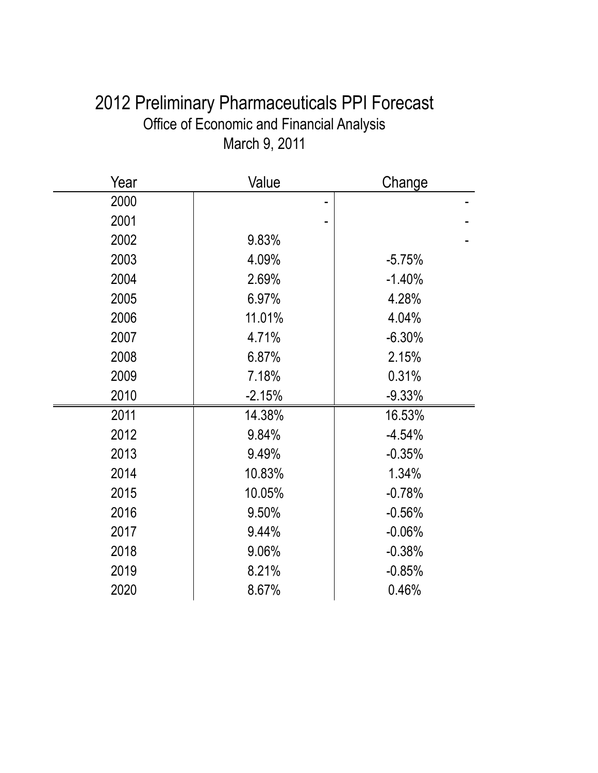| 2012 Preliminary Pharmaceuticals PPI Forecast |
|-----------------------------------------------|
| Office of Economic and Financial Analysis     |
| March 9, 2011                                 |

| Year | Value    | Change   |
|------|----------|----------|
| 2000 |          |          |
| 2001 |          |          |
| 2002 | 9.83%    |          |
| 2003 | 4.09%    | $-5.75%$ |
| 2004 | 2.69%    | $-1.40%$ |
| 2005 | 6.97%    | 4.28%    |
| 2006 | 11.01%   | 4.04%    |
| 2007 | 4.71%    | $-6.30%$ |
| 2008 | 6.87%    | 2.15%    |
| 2009 | 7.18%    | 0.31%    |
| 2010 | $-2.15%$ | $-9.33%$ |
| 2011 | 14.38%   | 16.53%   |
| 2012 | 9.84%    | $-4.54%$ |
| 2013 | 9.49%    | $-0.35%$ |
| 2014 | 10.83%   | 1.34%    |
| 2015 | 10.05%   | $-0.78%$ |
| 2016 | 9.50%    | $-0.56%$ |
| 2017 | 9.44%    | $-0.06%$ |
| 2018 | 9.06%    | $-0.38%$ |
| 2019 | 8.21%    | $-0.85%$ |
| 2020 | 8.67%    | 0.46%    |
|      |          |          |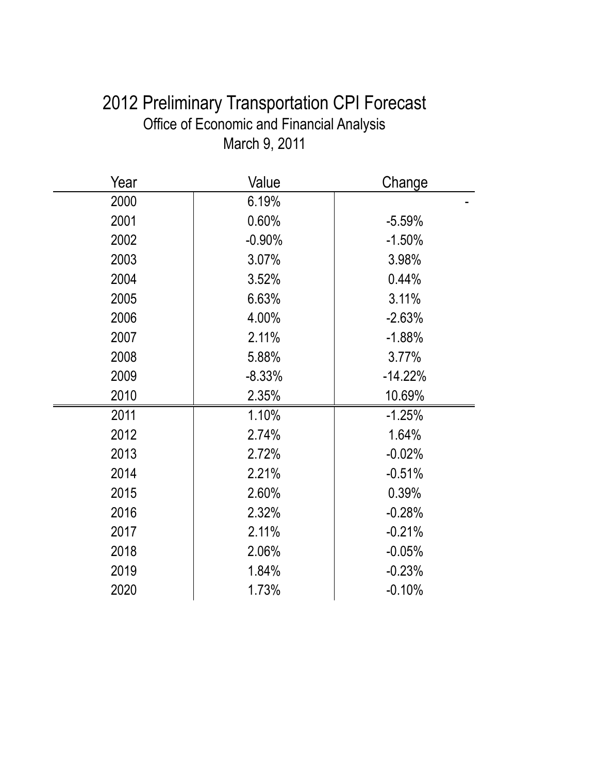| 2012 Preliminary Transportation CPI Forecast     |
|--------------------------------------------------|
| <b>Office of Economic and Financial Analysis</b> |
| March 9, 2011                                    |

| Year | Value             | Change    |  |
|------|-------------------|-----------|--|
| 2000 | 6.19%             |           |  |
| 2001 | 0.60%             | $-5.59%$  |  |
| 2002 | $-0.90%$          | $-1.50%$  |  |
| 2003 | 3.07%             | 3.98%     |  |
| 2004 | 3.52%             | 0.44%     |  |
| 2005 | 6.63%             | 3.11%     |  |
| 2006 | 4.00%             | $-2.63%$  |  |
| 2007 | 2.11%             | $-1.88%$  |  |
| 2008 | 5.88%             | 3.77%     |  |
| 2009 | $-8.33%$          | $-14.22%$ |  |
| 2010 | 2.35%             | 10.69%    |  |
| 2011 | 1.10%             | $-1.25%$  |  |
| 2012 | 2.74%             | 1.64%     |  |
| 2013 | 2.72%             | $-0.02%$  |  |
| 2014 | 2.21%             | $-0.51%$  |  |
| 2015 | 2.60%             | 0.39%     |  |
| 2016 | 2.32%             | $-0.28%$  |  |
| 2017 | 2.11%             | $-0.21%$  |  |
| 2018 | 2.06%<br>$-0.05%$ |           |  |
| 2019 | 1.84%<br>$-0.23%$ |           |  |
| 2020 | 1.73%             | $-0.10%$  |  |